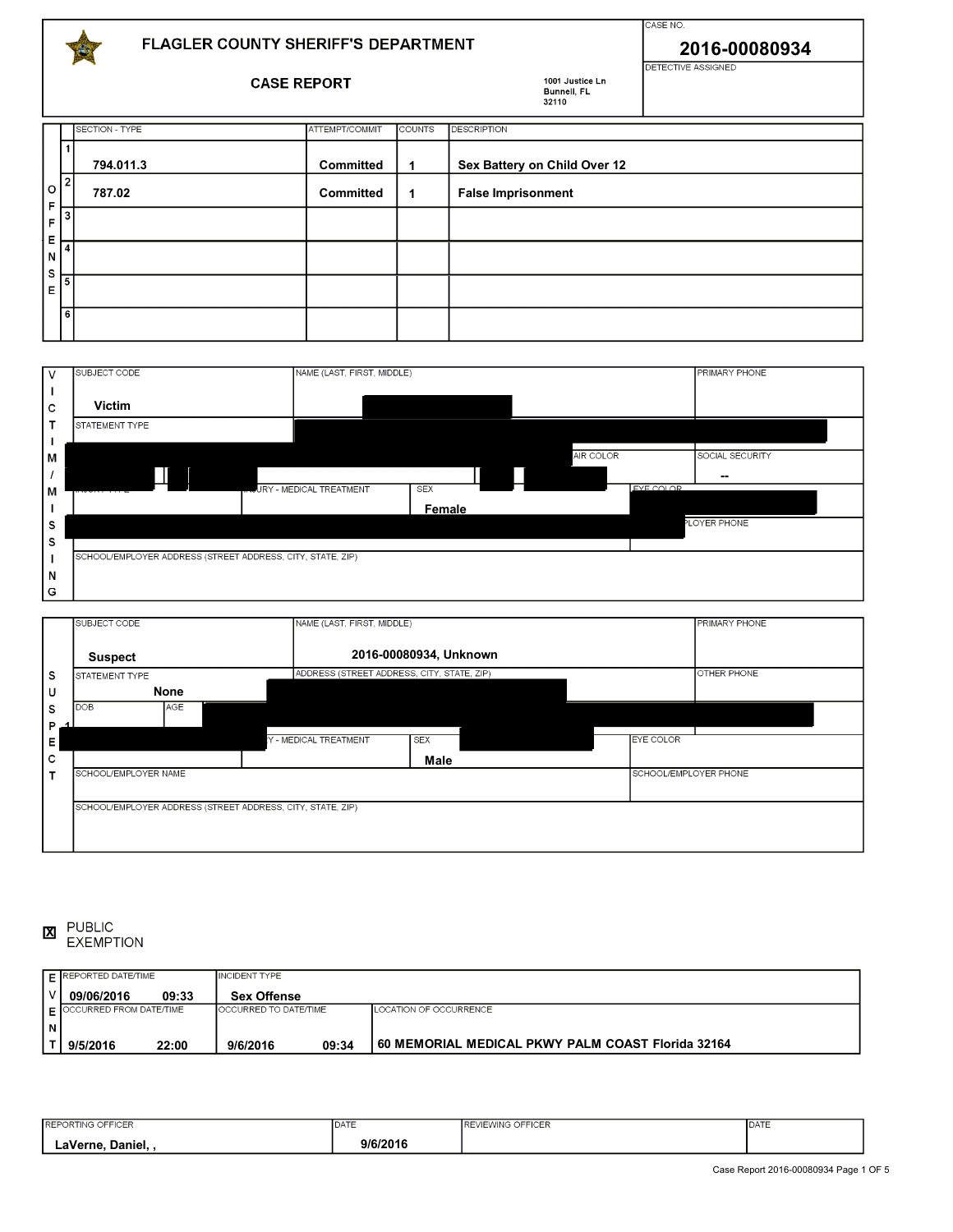

## FLAGLER COUNTY SHERIFF'S DEPARTMENT

**CASE REPORT** 

shower to an advised to avoid cleaning that she tried to avoid cleaning her values of the shear control to avo

1001 Justice Ln

**2016-00080934** 

CASE NO.

| ------------  |                |                  | Bunnell, FL<br>32110 |                              |  |  |
|---------------|----------------|------------------|----------------------|------------------------------|--|--|
|               | SECTION - TYPE | ATTEMPT/COMMIT   | <b>COUNTS</b>        | <b>DESCRIPTION</b>           |  |  |
| l 1           | 794.011.3      | Committed        | $\mathbf 1$          | Sex Battery on Child Over 12 |  |  |
| $10^{21}$     | 787.02         | <b>Committed</b> | $\mathbf 1$          | <b>False Imprisonment</b>    |  |  |
| $\frac{F}{F}$ |                |                  |                      |                              |  |  |
| $\frac{E}{N}$ |                |                  |                      |                              |  |  |
| $\frac{S}{E}$ |                |                  |                      |                              |  |  |
| । व           |                |                  |                      |                              |  |  |

York and that she and her boyfriend (identity unknown) are in Florida visiting. Shenelle proceeded to advise that

| l v | SUBJECT CODE                                               | NAME (LAST, FIRST, MIDDLE)                   |                  | <b>PRIMARY PHONE</b> |
|-----|------------------------------------------------------------|----------------------------------------------|------------------|----------------------|
|     |                                                            |                                              |                  |                      |
| c   | <b>Victim</b>                                              |                                              |                  |                      |
| Т   | STATEMENT TYPE                                             |                                              |                  |                      |
|     |                                                            |                                              |                  |                      |
| lм  |                                                            |                                              | <b>AIR COLOR</b> | SOCIAL SECURITY      |
|     |                                                            |                                              |                  | --                   |
| ļм  |                                                            | <b>JRY - MEDICAL TREATMENT</b><br><b>SEX</b> | EYE COLOR        |                      |
|     |                                                            | Female                                       |                  |                      |
| s   |                                                            |                                              |                  | PLOYER PHONE         |
| s   |                                                            |                                              |                  |                      |
|     | SCHOOL/EMPLOYER ADDRESS (STREET ADDRESS, CITY, STATE, ZIP) |                                              |                  |                      |
| N   |                                                            |                                              |                  |                      |
| G   |                                                            |                                              |                  |                      |

|   | SUBJECT CODE         |            | NAME (LAST, FIRST, MIDDLE)                                 |                        |                  | <b>PRIMARY PHONE</b>  |
|---|----------------------|------------|------------------------------------------------------------|------------------------|------------------|-----------------------|
|   | <b>Suspect</b>       |            |                                                            | 2016-00080934, Unknown |                  |                       |
| s | STATEMENT TYPE       |            | ADDRESS (STREET ADDRESS, CITY, STATE, ZIP)                 |                        |                  | <b>OTHER PHONE</b>    |
| U |                      | None       |                                                            |                        |                  |                       |
| s | <b>DOB</b>           | <b>AGE</b> |                                                            |                        |                  |                       |
| P |                      |            |                                                            |                        |                  |                       |
| Е |                      |            | Y - MEDICAL TREATMENT                                      | <b>SEX</b>             | <b>EYE COLOR</b> |                       |
| с |                      |            |                                                            | Male                   |                  |                       |
|   | SCHOOL/EMPLOYER NAME |            |                                                            |                        |                  | SCHOOL/EMPLOYER PHONE |
|   |                      |            |                                                            |                        |                  |                       |
|   |                      |            | SCHOOL/EMPLOYER ADDRESS (STREET ADDRESS, CITY, STATE, ZIP) |                        |                  |                       |
|   |                      |            |                                                            |                        |                  |                       |
|   |                      |            |                                                            |                        |                  |                       |

 $ON<sub>1</sub>$ PUBLIC<br>EXEMPTION answering my guestions. The investigation of investigation, Shenelle provided multiple inconsistent statements **X**

|   | $\mathsf F$ REPORTED DATE/TIME            |       | <b>INCIDENT TYPE</b>         |       |                                                   |
|---|-------------------------------------------|-------|------------------------------|-------|---------------------------------------------------|
|   | 09/06/2016                                | 09:33 | <b>Sex Offense</b>           |       |                                                   |
|   | $\mathsf{\Gamma}$ OCCURRED FROM DATE/TIME |       | <b>OCCURRED TO DATE/TIME</b> |       | LOCATION OF OCCURRENCE                            |
| N |                                           |       |                              |       |                                                   |
|   | 9/5/2016                                  | 22:00 | 9/6/2016                     | 09:34 | 60 MEMORIAL MEDICAL PKWY PALM COAST Florida 32164 |

| NG OFFICER<br><b>REP</b><br>KTING OFI | <b>IDATE</b> | <b>REVIEWING OFFICER</b> | <b>IDATE</b> |
|---------------------------------------|--------------|--------------------------|--------------|
| ∟aVerne<br>Daniel.                    | 9/6/2016     |                          |              |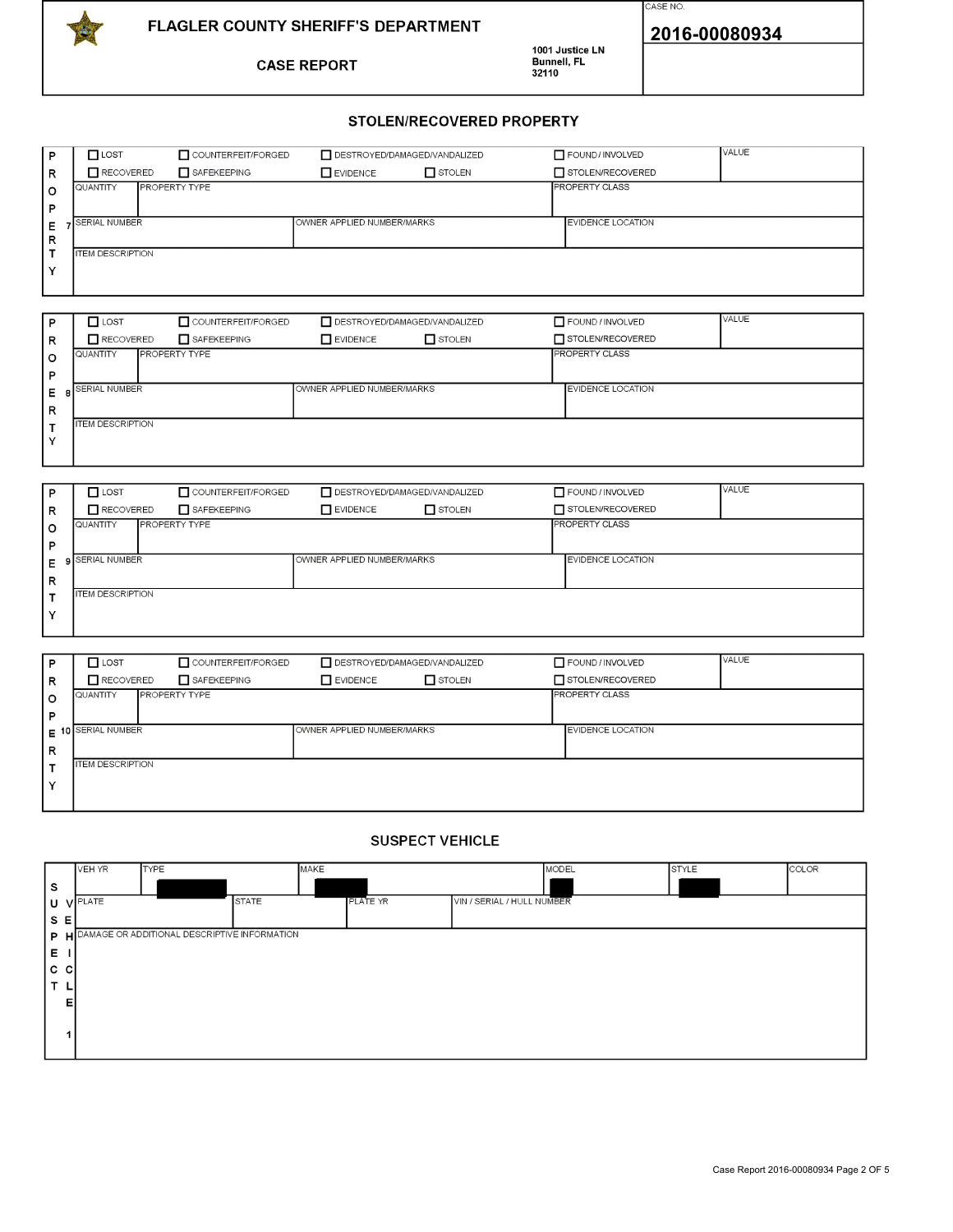

**CASE REPORT** 

1001 Justice LN<br>Bunnell, FL<br>32110



2016-00080934

## **STOLEN/RECOVERED PROPERTY**

| <b>P</b> | $\Box$ LOST                      | COUNTERFEIT/FORGED | DESTROYED/DAMAGED/VANDALIZED |               | FOUND/INVOLVED           | <b>VALUE</b> |
|----------|----------------------------------|--------------------|------------------------------|---------------|--------------------------|--------------|
| l R      | $\blacksquare$ RECOVERED         | SAFEKEEPING        | $\Box$ EVIDENCE              | $\Box$ STOLEN | STOLEN/RECOVERED         |              |
| ۱o       | <b>PROPERTY TYPE</b><br>QUANTITY |                    |                              |               | <b>PROPERTY CLASS</b>    |              |
| l P      |                                  |                    |                              |               |                          |              |
| Е        | SERIAL NUMBER                    |                    | OWNER APPLIED NUMBER/MARKS   |               | <b>EVIDENCE LOCATION</b> |              |
| l R      |                                  |                    |                              |               |                          |              |
|          | <b>ITEM DESCRIPTION</b>          |                    |                              |               |                          |              |
| Y        |                                  |                    |                              |               |                          |              |
|          |                                  |                    |                              |               |                          |              |

| $\Box$ STOLEN<br><b>N</b> EVIDENCE | STOLEN/RECOVERED         |
|------------------------------------|--------------------------|
|                                    | <b>PROPERTY CLASS</b>    |
|                                    |                          |
| OWNER APPLIED NUMBER/MARKS         | <b>EVIDENCE LOCATION</b> |
|                                    |                          |
|                                    |                          |
|                                    |                          |
|                                    |                          |

| P            | $\Box$ LOST             | COUNTERFEIT/FORGED   | DESTROYED/DAMAGED/VANDALIZED |               | FOUND / INVOLVED         | VALUE |
|--------------|-------------------------|----------------------|------------------------------|---------------|--------------------------|-------|
| R            | RECOVERED               | SAFEKEEPING          | <b>N</b> EVIDENCE            | $\Box$ STOLEN | STOLEN/RECOVERED         |       |
| $\circ$      | QUANTITY                | <b>PROPERTY TYPE</b> |                              |               | <b>PROPERTY CLASS</b>    |       |
| P            |                         |                      |                              |               |                          |       |
| Е            | <b>SERIAL NUMBER</b>    |                      | OWNER APPLIED NUMBER/MARKS   |               | <b>EVIDENCE LOCATION</b> |       |
| R            |                         |                      |                              |               |                          |       |
|              | <b>ITEM DESCRIPTION</b> |                      |                              |               |                          |       |
| $\checkmark$ |                         |                      |                              |               |                          |       |
|              |                         |                      |                              |               |                          |       |

| P            | $\Box$ LOST             | COUNTERFEIT/FORGED   | DESTROYED/DAMAGED/VANDALIZED |               | FOUND / INVOLVED         | VALUE |
|--------------|-------------------------|----------------------|------------------------------|---------------|--------------------------|-------|
| R            | RECOVERED               | SAFEKEEPING          | EVIDENCE                     | $\Box$ STOLEN | STOLEN/RECOVERED         |       |
| $\circ$      | QUANTITY                | <b>PROPERTY TYPE</b> |                              |               | <b>IPROPERTY CLASS</b>   |       |
| P            |                         |                      |                              |               |                          |       |
|              | $E$ 10 SERIAL NUMBER    |                      | OWNER APPLIED NUMBER/MARKS   |               | <b>EVIDENCE LOCATION</b> |       |
| R            |                         |                      |                              |               |                          |       |
|              | <b>ITEM DESCRIPTION</b> |                      |                              |               |                          |       |
| $\checkmark$ |                         |                      |                              |               |                          |       |
|              |                         |                      |                              |               |                          |       |

## **SUSPECT VEHICLE**

|      | VEH YR          | <b>TYPE</b>                                      |              | MAKE            |                            | MODEL | STYLE | COLOR |
|------|-----------------|--------------------------------------------------|--------------|-----------------|----------------------------|-------|-------|-------|
| s    |                 |                                                  |              |                 |                            |       |       |       |
|      | <b>U VPLATE</b> |                                                  | <b>STATE</b> | <b>PLATE YR</b> | VIN / SERIAL / HULL NUMBER |       |       |       |
| S E  |                 |                                                  |              |                 |                            |       |       |       |
|      |                 | P H DAMAGE OR ADDITIONAL DESCRIPTIVE INFORMATION |              |                 |                            |       |       |       |
| Е.   |                 |                                                  |              |                 |                            |       |       |       |
| c cl |                 |                                                  |              |                 |                            |       |       |       |
| T    |                 |                                                  |              |                 |                            |       |       |       |
|      | EI              |                                                  |              |                 |                            |       |       |       |
|      |                 |                                                  |              |                 |                            |       |       |       |
|      |                 |                                                  |              |                 |                            |       |       |       |
|      |                 |                                                  |              |                 |                            |       |       |       |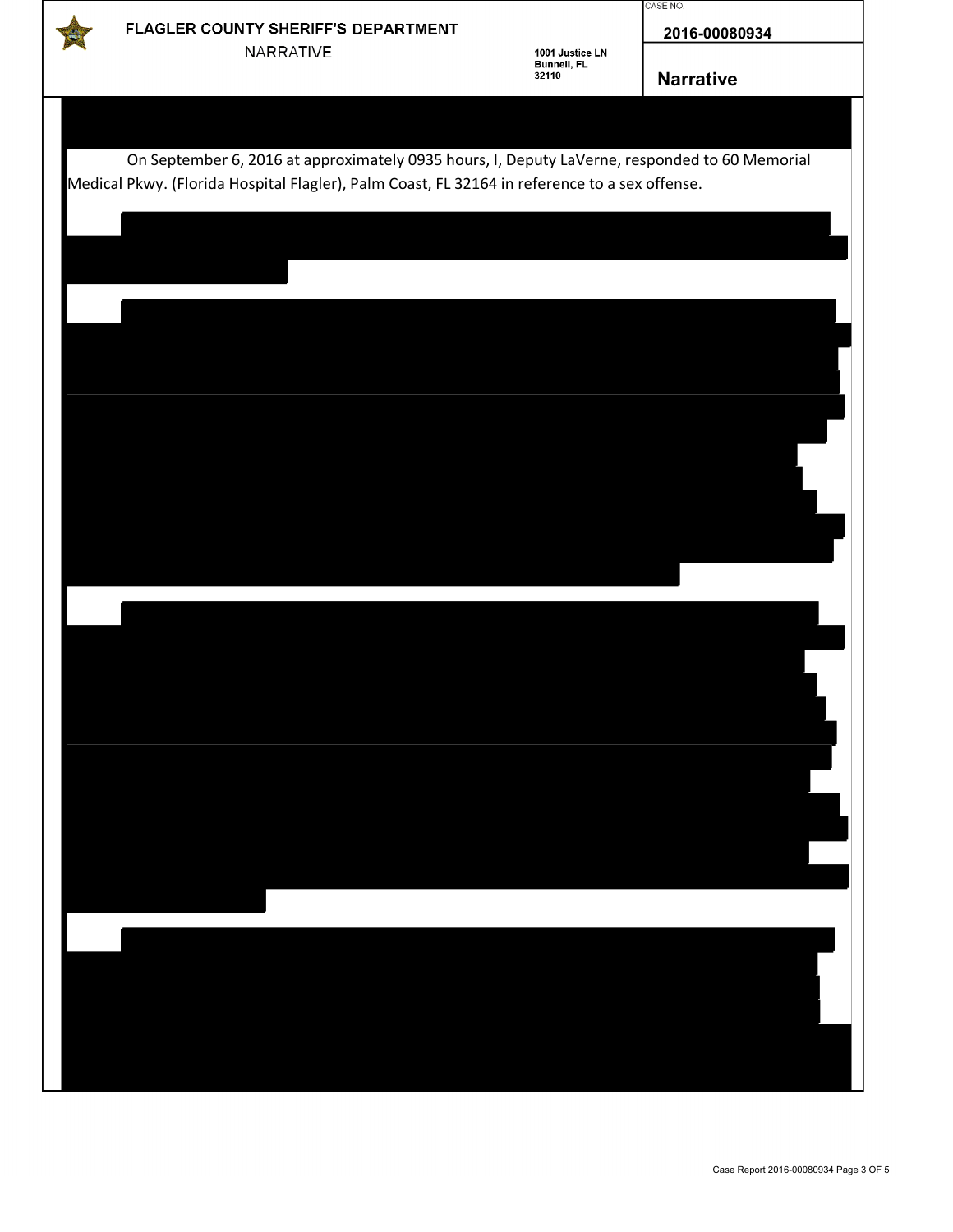

## FLAGLER COUNTY SHERIFF'S DEPARTMENT NARRATIVE

1001 Justice LN<br>Bunnell, FL<br>32110

**2016-00080934**

**Narrative**

CASE NO.

| On September 6, 2016 at approximately 0935 hours, I, Deputy LaVerne, responded to 60 Memorial<br>Medical Pkwy. (Florida Hospital Flagler), Palm Coast, FL 32164 in reference to a sex offense. |  |  |  |
|------------------------------------------------------------------------------------------------------------------------------------------------------------------------------------------------|--|--|--|
|                                                                                                                                                                                                |  |  |  |
|                                                                                                                                                                                                |  |  |  |
|                                                                                                                                                                                                |  |  |  |
|                                                                                                                                                                                                |  |  |  |
|                                                                                                                                                                                                |  |  |  |
|                                                                                                                                                                                                |  |  |  |
|                                                                                                                                                                                                |  |  |  |
|                                                                                                                                                                                                |  |  |  |
|                                                                                                                                                                                                |  |  |  |
|                                                                                                                                                                                                |  |  |  |
|                                                                                                                                                                                                |  |  |  |
|                                                                                                                                                                                                |  |  |  |
|                                                                                                                                                                                                |  |  |  |
|                                                                                                                                                                                                |  |  |  |
|                                                                                                                                                                                                |  |  |  |
|                                                                                                                                                                                                |  |  |  |
|                                                                                                                                                                                                |  |  |  |
|                                                                                                                                                                                                |  |  |  |
|                                                                                                                                                                                                |  |  |  |
|                                                                                                                                                                                                |  |  |  |
|                                                                                                                                                                                                |  |  |  |
|                                                                                                                                                                                                |  |  |  |
|                                                                                                                                                                                                |  |  |  |
|                                                                                                                                                                                                |  |  |  |
|                                                                                                                                                                                                |  |  |  |
|                                                                                                                                                                                                |  |  |  |
|                                                                                                                                                                                                |  |  |  |
|                                                                                                                                                                                                |  |  |  |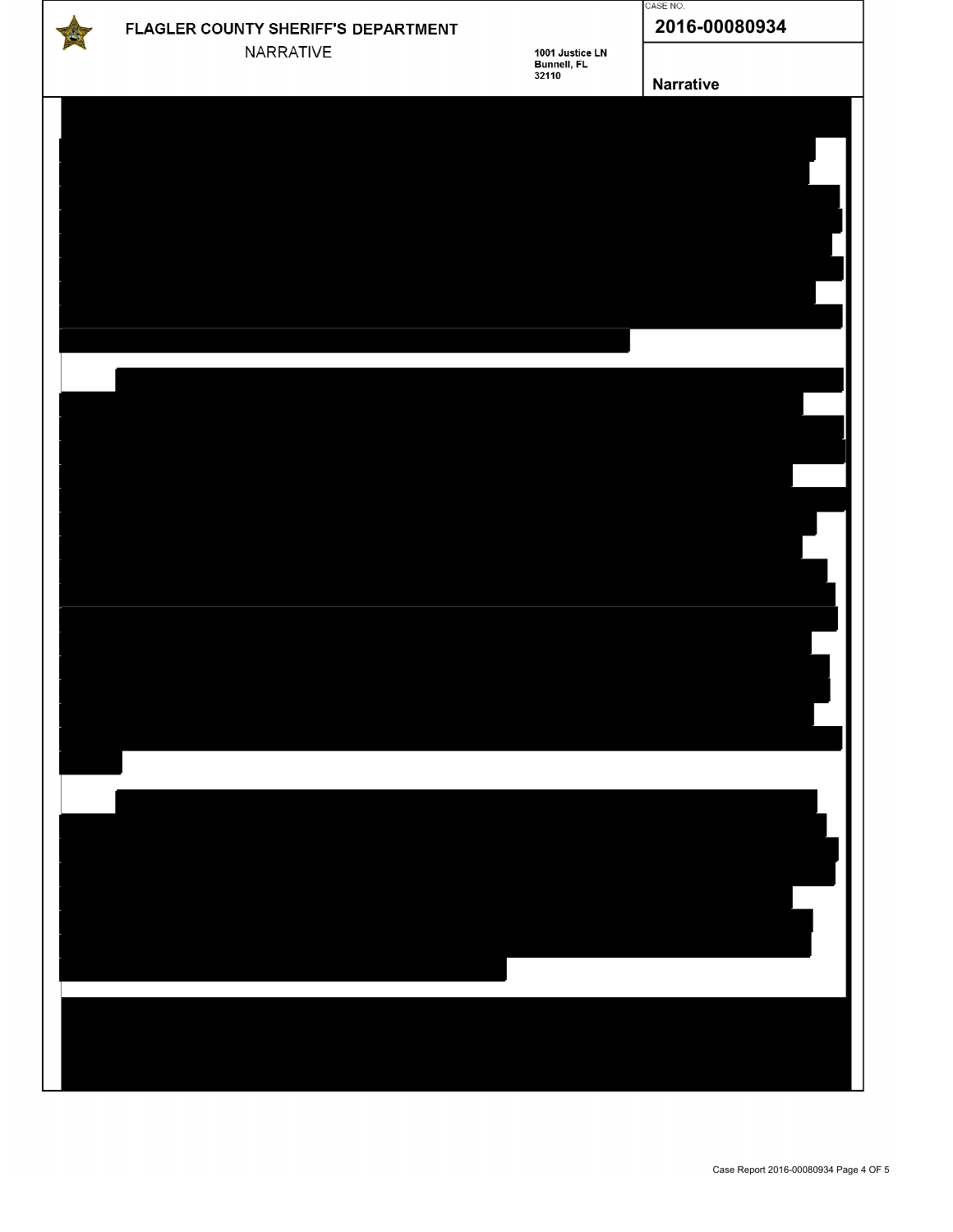